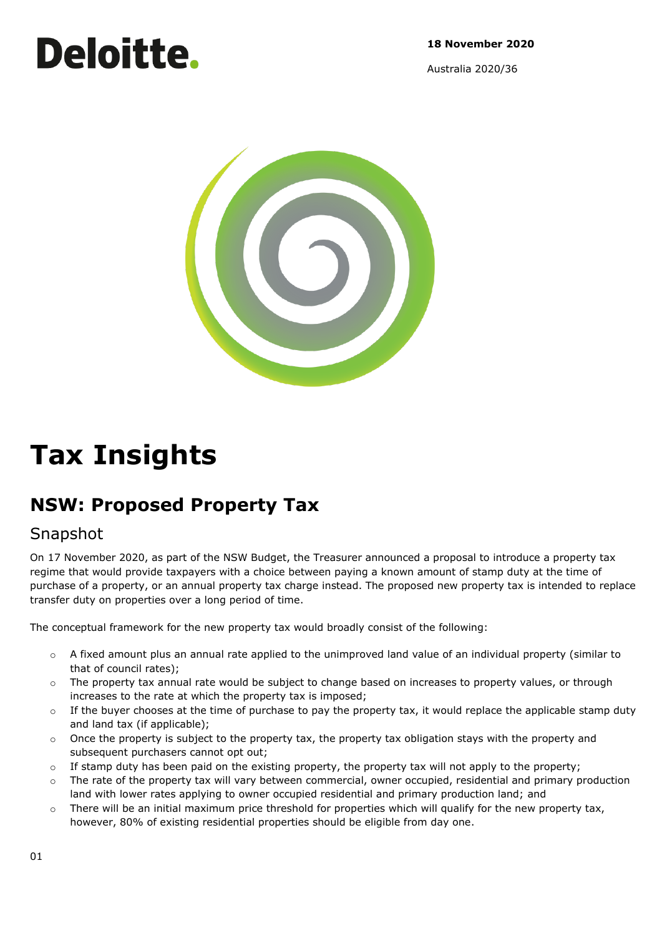# Deloitte.

**18 November 2020**

Australia 2020/36



# **Tax Insights**

# **NSW: Proposed Property Tax**

## Snapshot

On 17 November 2020, as part of the NSW Budget, the Treasurer announced a proposal to introduce a property tax regime that would provide taxpayers with a choice between paying a known amount of stamp duty at the time of purchase of a property, or an annual property tax charge instead. The proposed new property tax is intended to replace transfer duty on properties over a long period of time.

The conceptual framework for the new property tax would broadly consist of the following:

- $\circ$  A fixed amount plus an annual rate applied to the unimproved land value of an individual property (similar to that of council rates);
- o The property tax annual rate would be subject to change based on increases to property values, or through increases to the rate at which the property tax is imposed;
- o If the buyer chooses at the time of purchase to pay the property tax, it would replace the applicable stamp duty and land tax (if applicable);
- $\circ$  Once the property is subject to the property tax, the property tax obligation stays with the property and subsequent purchasers cannot opt out;
- $\circ$  If stamp duty has been paid on the existing property, the property tax will not apply to the property;
- o The rate of the property tax will vary between commercial, owner occupied, residential and primary production land with lower rates applying to owner occupied residential and primary production land; and
- o There will be an initial maximum price threshold for properties which will qualify for the new property tax, however, 80% of existing residential properties should be eligible from day one.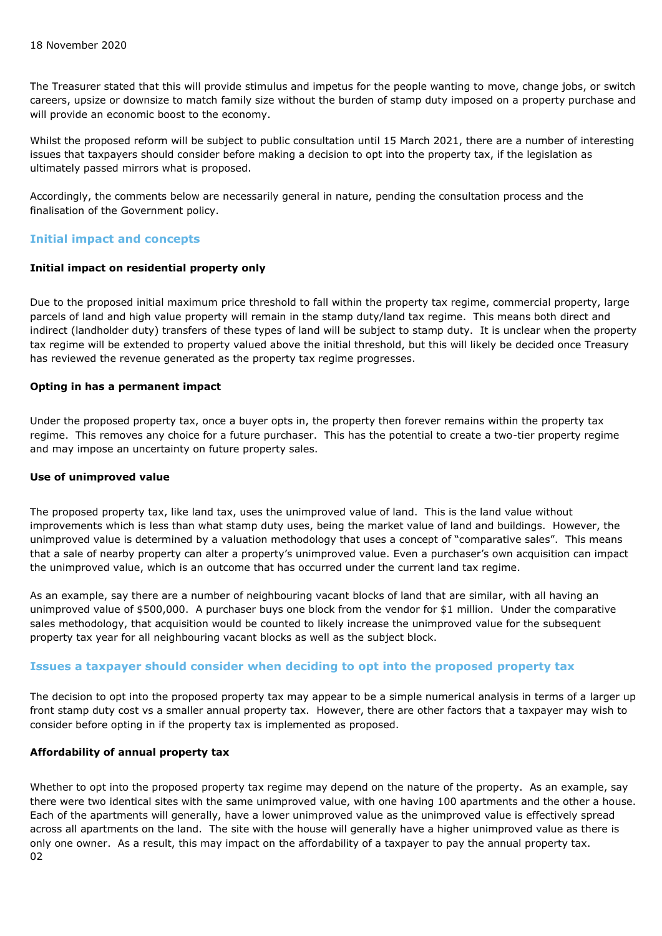The Treasurer stated that this will provide stimulus and impetus for the people wanting to move, change jobs, or switch careers, upsize or downsize to match family size without the burden of stamp duty imposed on a property purchase and will provide an economic boost to the economy.

Whilst the proposed reform will be subject to public consultation until 15 March 2021, there are a number of interesting issues that taxpayers should consider before making a decision to opt into the property tax, if the legislation as ultimately passed mirrors what is proposed.

Accordingly, the comments below are necessarily general in nature, pending the consultation process and the finalisation of the Government policy.

#### **Initial impact and concepts**

#### **Initial impact on residential property only**

Due to the proposed initial maximum price threshold to fall within the property tax regime, commercial property, large parcels of land and high value property will remain in the stamp duty/land tax regime. This means both direct and indirect (landholder duty) transfers of these types of land will be subject to stamp duty. It is unclear when the property tax regime will be extended to property valued above the initial threshold, but this will likely be decided once Treasury has reviewed the revenue generated as the property tax regime progresses.

#### **Opting in has a permanent impact**

Under the proposed property tax, once a buyer opts in, the property then forever remains within the property tax regime. This removes any choice for a future purchaser. This has the potential to create a two-tier property regime and may impose an uncertainty on future property sales.

#### **Use of unimproved value**

The proposed property tax, like land tax, uses the unimproved value of land. This is the land value without improvements which is less than what stamp duty uses, being the market value of land and buildings. However, the unimproved value is determined by a valuation methodology that uses a concept of "comparative sales". This means that a sale of nearby property can alter a property's unimproved value. Even a purchaser's own acquisition can impact the unimproved value, which is an outcome that has occurred under the current land tax regime.

As an example, say there are a number of neighbouring vacant blocks of land that are similar, with all having an unimproved value of \$500,000. A purchaser buys one block from the vendor for \$1 million. Under the comparative sales methodology, that acquisition would be counted to likely increase the unimproved value for the subsequent property tax year for all neighbouring vacant blocks as well as the subject block.

#### **Issues a taxpayer should consider when deciding to opt into the proposed property tax**

The decision to opt into the proposed property tax may appear to be a simple numerical analysis in terms of a larger up front stamp duty cost vs a smaller annual property tax. However, there are other factors that a taxpayer may wish to consider before opting in if the property tax is implemented as proposed.

#### **Affordability of annual property tax**

02 Whether to opt into the proposed property tax regime may depend on the nature of the property. As an example, say there were two identical sites with the same unimproved value, with one having 100 apartments and the other a house. Each of the apartments will generally, have a lower unimproved value as the unimproved value is effectively spread across all apartments on the land. The site with the house will generally have a higher unimproved value as there is only one owner. As a result, this may impact on the affordability of a taxpayer to pay the annual property tax.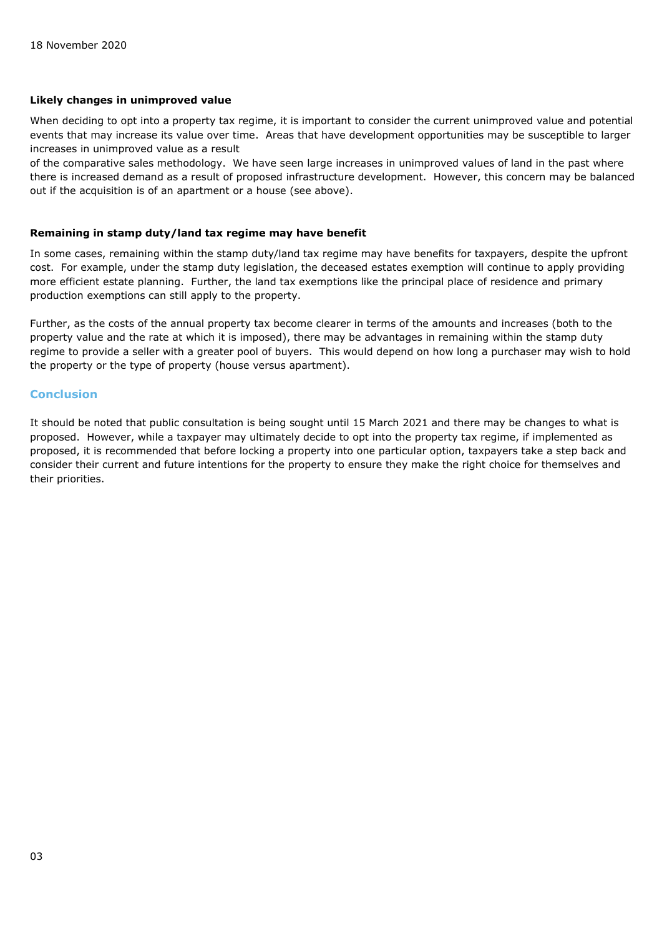#### **Likely changes in unimproved value**

When deciding to opt into a property tax regime, it is important to consider the current unimproved value and potential events that may increase its value over time. Areas that have development opportunities may be susceptible to larger increases in unimproved value as a result

of the comparative sales methodology. We have seen large increases in unimproved values of land in the past where there is increased demand as a result of proposed infrastructure development. However, this concern may be balanced out if the acquisition is of an apartment or a house (see above).

#### **Remaining in stamp duty/land tax regime may have benefit**

In some cases, remaining within the stamp duty/land tax regime may have benefits for taxpayers, despite the upfront cost. For example, under the stamp duty legislation, the deceased estates exemption will continue to apply providing more efficient estate planning. Further, the land tax exemptions like the principal place of residence and primary production exemptions can still apply to the property.

Further, as the costs of the annual property tax become clearer in terms of the amounts and increases (both to the property value and the rate at which it is imposed), there may be advantages in remaining within the stamp duty regime to provide a seller with a greater pool of buyers. This would depend on how long a purchaser may wish to hold the property or the type of property (house versus apartment).

#### **Conclusion**

It should be noted that public consultation is being sought until 15 March 2021 and there may be changes to what is proposed. However, while a taxpayer may ultimately decide to opt into the property tax regime, if implemented as proposed, it is recommended that before locking a property into one particular option, taxpayers take a step back and consider their current and future intentions for the property to ensure they make the right choice for themselves and their priorities.